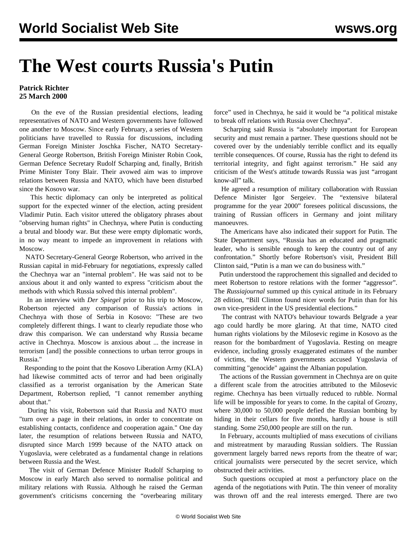## **The West courts Russia's Putin**

## **Patrick Richter 25 March 2000**

 On the eve of the Russian presidential elections, leading representatives of NATO and Western governments have followed one another to Moscow. Since early February, a series of Western politicians have travelled to Russia for discussions, including German Foreign Minister Joschka Fischer, NATO Secretary-General George Robertson, British Foreign Minister Robin Cook, German Defence Secretary Rudolf Scharping and, finally, British Prime Minister Tony Blair. Their avowed aim was to improve relations between Russia and NATO, which have been disturbed since the Kosovo war.

 This hectic diplomacy can only be interpreted as political support for the expected winner of the election, acting president Vladimir Putin. Each visitor uttered the obligatory phrases about "observing human rights" in Chechnya, where Putin is conducting a brutal and bloody war. But these were empty diplomatic words, in no way meant to impede an improvement in relations with Moscow.

 NATO Secretary-General George Robertson, who arrived in the Russian capital in mid-February for negotiations, expressly called the Chechnya war an "internal problem". He was said not to be anxious about it and only wanted to express "criticism about the methods with which Russia solved this internal problem".

 In an interview with *Der Spiegel* prior to his trip to Moscow, Robertson rejected any comparison of Russia's actions in Chechnya with those of Serbia in Kosovo: "These are two completely different things. I want to clearly repudiate those who draw this comparison. We can understand why Russia became active in Chechnya. Moscow is anxious about ... the increase in terrorism [and] the possible connections to urban terror groups in Russia."

 Responding to the point that the Kosovo Liberation Army (KLA) had likewise committed acts of terror and had been originally classified as a terrorist organisation by the American State Department, Robertson replied, "I cannot remember anything about that."

 During his visit, Robertson said that Russia and NATO must "turn over a page in their relations, in order to concentrate on establishing contacts, confidence and cooperation again." One day later, the resumption of relations between Russia and NATO, disrupted since March 1999 because of the NATO attack on Yugoslavia, were celebrated as a fundamental change in relations between Russia and the West.

 The visit of German Defence Minister Rudolf Scharping to Moscow in early March also served to normalise political and military relations with Russia. Although he raised the German government's criticisms concerning the "overbearing military force" used in Chechnya, he said it would be "a political mistake to break off relations with Russia over Chechnya".

 Scharping said Russia is "absolutely important for European security and must remain a partner. These questions should not be covered over by the undeniably terrible conflict and its equally terrible consequences. Of course, Russia has the right to defend its territorial integrity, and fight against terrorism." He said any criticism of the West's attitude towards Russia was just "arrogant know-all" talk.

 He agreed a resumption of military collaboration with Russian Defence Minister Igor Sergeiev. The "extensive bilateral programme for the year 2000" foresees political discussions, the training of Russian officers in Germany and joint military manoeuvres.

 The Americans have also indicated their support for Putin. The State Department says, "Russia has an educated and pragmatic leader, who is sensible enough to keep the country out of any confrontation." Shortly before Robertson's visit, President Bill Clinton said, "Putin is a man we can do business with."

 Putin understood the rapprochement this signalled and decided to meet Robertson to restore relations with the former "aggressor". The *Russiajournal* summed up this cynical attitude in its February 28 edition, "Bill Clinton found nicer words for Putin than for his own vice-president in the US presidential elections."

 The contrast with NATO's behaviour towards Belgrade a year ago could hardly be more glaring. At that time, NATO cited human rights violations by the Milosevic regime in Kosovo as the reason for the bombardment of Yugoslavia. Resting on meagre evidence, including grossly exaggerated estimates of the number of victims, the Western governments accused Yugoslavia of committing "genocide" against the Albanian population.

 The actions of the Russian government in Chechnya are on quite a different scale from the atrocities attributed to the Milosevic regime. Chechnya has been virtually reduced to rubble. Normal life will be impossible for years to come. In the capital of Grozny, where 30,000 to 50,000 people defied the Russian bombing by hiding in their cellars for five months, hardly a house is still standing. Some 250,000 people are still on the run.

 In February, accounts multiplied of mass executions of civilians and mistreatment by marauding Russian soldiers. The Russian government largely barred news reports from the theatre of war; critical journalists were persecuted by the secret service, which obstructed their activities.

 Such questions occupied at most a perfunctory place on the agenda of the negotiations with Putin. The thin veneer of morality was thrown off and the real interests emerged. There are two